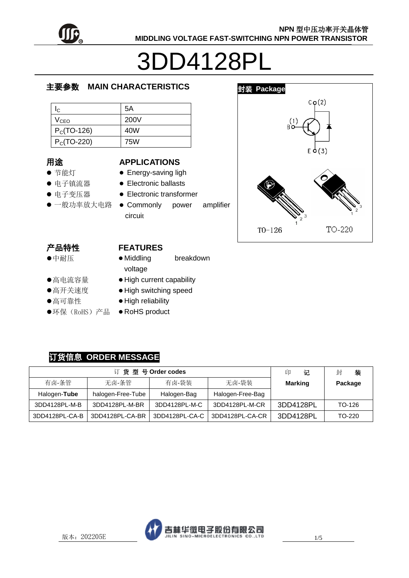

# 3DD4128PL

# 主要参数 **MAIN CHARACTERISTICS**

| Ic.              | 5A   |
|------------------|------|
| V <sub>CEO</sub> | 200V |
| $PC(TO-126)$     | 40W  |
| $P_C(TO-220)$    | 75W  |

#### 用途

- 节能灯
- 电子镇流器
- 电子变压器
- 

#### **APPLICATIONS**

- Energy-saving ligh
- Electronic ballasts
- Electronic transformer
- 一般功率放大电路 Commonly power amplifier circuit



# 产品特性

中耐压

#### **FEATURES** • Middling breakdown

voltage

- 高电流容量
- 高开关速度
- 高可靠性
- ●环保(RoHS)产品
- $\bullet$  High current capability • High switching speed
- $\bullet$  High reliability
- RoHS product

# 订货信息 **ORDER MESSAGE**

| 订货型号Order codes |                   |                | 记<br>印           | 装<br>封         |         |
|-----------------|-------------------|----------------|------------------|----------------|---------|
| 有卤-条管           | 无卤-条管             | 有卤-袋装          | 无卤-袋装            | <b>Marking</b> | Package |
| Halogen-Tube    | halogen-Free-Tube | Halogen-Bag    | Halogen-Free-Bag |                |         |
| 3DD4128PL-M-B   | 3DD4128PL-M-BR    | 3DD4128PL-M-C  | 3DD4128PL-M-CR   | 3DD4128PL      | TO-126  |
| 3DD4128PL-CA-B  | 3DD4128PL-CA-BR   | 3DD4128PL-CA-C | 3DD4128PL-CA-CR  | 3DD4128PL      | TO-220  |

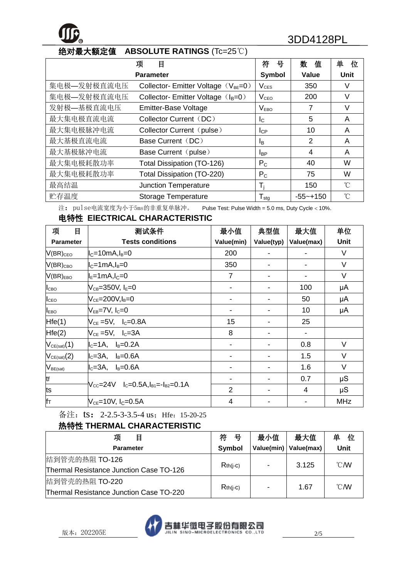# **<sup>R</sup>** 3DD4128PL

# 绝对最大额定值 **ABSOLUTE RATINGS** (Tc=25℃)

|                  | 目<br>项                                          | 符<br>뮹                  | 数<br>值         | 单<br>位            |
|------------------|-------------------------------------------------|-------------------------|----------------|-------------------|
| <b>Parameter</b> |                                                 | Symbol                  | Value          | Unit              |
| 集电极—发射极直流电压      | Collector- Emitter Voltage (V <sub>BE</sub> =0) | $V_{CES}$               | 350            | V                 |
| 集电极—发射极直流电压      | Collector-Emitter Voltage $(I_B=0)$             | V <sub>ceo</sub>        | 200            | V                 |
| 发射极—基极直流电压       | Emitter-Base Voltage                            | V <sub>EBO</sub>        | 7              | V                 |
| 最大集电极直流电流        | Collector Current (DC)                          | $\mathsf{I}_\mathsf{C}$ | 5              | A                 |
| 最大集电极脉冲电流        | Collector Current (pulse)                       | $I_{CP}$                | 10             | A                 |
| 最大基极直流电流         | Base Current (DC)                               | l <sub>B</sub>          | $\overline{2}$ | A                 |
| 最大基极脉冲电流         | Base Current (pulse)                            | <b>I</b> BP             | 4              | A                 |
| 最大集电极耗散功率        | Total Dissipation (TO-126)                      | $P_{C}$                 | 40             | W                 |
| 最大集电极耗散功率        | Total Dissipation (TO-220)                      | $P_{C}$                 | 75             | W                 |
| 最高结温             | <b>Junction Temperature</b>                     | $T_i$                   | 150            | °C                |
| 贮存温度             | <b>Storage Temperature</b>                      | $T_{\text{stg}}$        | $-55 - +150$   | $^{\circ}$ $\cap$ |

注: pulse电流宽度为小于5ms的非重复单脉冲。 Pulse Test: Pulse Width = 5.0 ms, Duty Cycle < 10%.

# 电特性 **ElECTRICAL CHARACTERISTIC**

| 项<br>目           | 测试条件                                                                               | 最小值                      | 典型值                      | 最大值        | 单位         |
|------------------|------------------------------------------------------------------------------------|--------------------------|--------------------------|------------|------------|
| <b>Parameter</b> | <b>Tests conditions</b>                                                            | Value(min)               | Value(typ)               | Value(max) | Unit       |
| $V(BR)_{CEO}$    | $ I_C=10$ mA, $I_B=0$                                                              | 200                      | $\blacksquare$           |            | $\vee$     |
| $V(BR)_{CBO}$    | $ I_C=1$ mA, $I_B=0$                                                               | 350                      |                          |            | $\vee$     |
| $V(BR)_{EBO}$    | $ I_{E}=1$ mA, $I_{C}=0$                                                           | $\overline{7}$           | $\overline{\phantom{0}}$ |            | V          |
| I <sub>CBO</sub> | $V_{CB} = 350V$ , $I_E = 0$                                                        | $\overline{\phantom{a}}$ | $\blacksquare$           | 100        | μA         |
| $I_{\text{CEO}}$ | $V_{CE}$ =200V, $I_B$ =0                                                           |                          | $\blacksquare$           | 50         | μA         |
| <b>LEBO</b>      | $V_{EB}$ =7V, $I_C$ =0                                                             |                          |                          | 10         | μA         |
| Hfe(1)           | $V_{CE} = 5V$ , $I_C = 0.8A$                                                       | 15                       | $\blacksquare$           | 25         |            |
| Hfe(2)           | $V_{CE}$ =5V, $I_C$ =3A                                                            | 8                        | $\blacksquare$           |            |            |
| $V_{CE(sat)}(1)$ | $I_c = 1A$ , $I_B = 0.2A$                                                          |                          |                          | 0.8        | $\vee$     |
| $V_{CE(sat)}(2)$ | $I_c=3A$ , $I_B=0.6A$                                                              |                          |                          | 1.5        | $\vee$     |
| $V_{BE(sat)}$    | $I_c=3A$ , $I_B=0.6A$                                                              | -                        | $\blacksquare$           | 1.6        | V          |
| tf               |                                                                                    |                          |                          | 0.7        | μS         |
| lts              | $V_{\text{CC}} = 24V$ $I_{\text{C}} = 0.5A, I_{\text{B1}} = -I_{\text{B2}} = 0.1A$ | 2                        | $\blacksquare$           | 4          | μS         |
| Ifт              | $V_{CE}$ =10V, I <sub>C</sub> =0.5A                                                | 4                        | $\blacksquare$           |            | <b>MHz</b> |

备注: ts: 2-2.5-3-3.5-4 us; Hfe: 15-20-25

# 热特性 **THERMAL CHARACTERISTIC**

| 项<br>目                                  | 符          | 最小值            | 最大值                     | 单<br>位         |
|-----------------------------------------|------------|----------------|-------------------------|----------------|
| <b>Parameter</b>                        | Symbol     |                | Value(min)   Value(max) | Unit           |
| 结到管壳的热阻 TO-126                          |            | $\blacksquare$ | 3.125                   | $^{\circ}$ CMV |
| Thermal Resistance Junction Case TO-126 | $Rth(i-c)$ |                |                         |                |
| 结到管壳的热阻 TO-220                          |            |                | 1.67                    | $^{\circ}$ CMV |
| Thermal Resistance Junction Case TO-220 | $Rth(i-c)$ | $\blacksquare$ |                         |                |

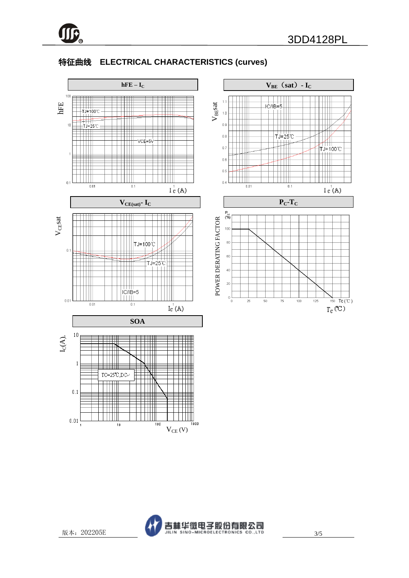

# 特征曲线 **ELECTRICAL CHARACTERISTICS (curves)**



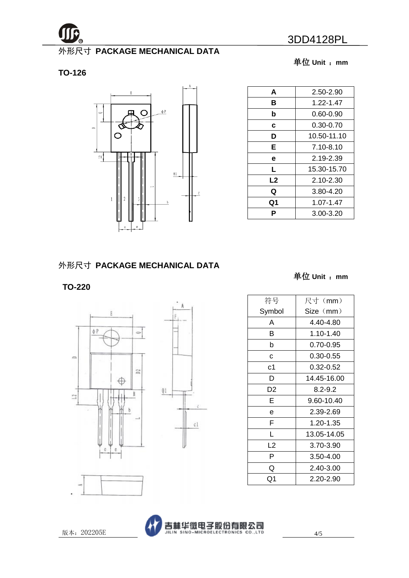

# 外形尺寸 **PACKAGE MECHANICAL DATA**

**TO-126**



单位 **Unit** :**mm**

| A  | 2.50-2.90     |
|----|---------------|
|    |               |
| в  | 1.22-1.47     |
| b  | $0.60 - 0.90$ |
| c  | $0.30 - 0.70$ |
| D  | 10.50-11.10   |
| Е  | $7.10 - 8.10$ |
| е  | 2.19-2.39     |
| L  | 15.30-15.70   |
| L2 | 2.10-2.30     |
| Q  | 3.80-4.20     |
| Q1 | 1.07-1.47     |
| Р  | 3.00-3.20     |

# 外形尺寸 **PACKAGE MECHANICAL DATA**

# **TO-220**





单位 **Unit** :**mm**

| 符号     | 尺寸 (mm)     |
|--------|-------------|
| Symbol | Size (mm)   |
| Α      | 4.40-4.80   |
| В      | 1.10-1.40   |
| b      | 0.70-0.95   |
| C      | 0.30-0.55   |
| с1     | 0.32-0.52   |
| D      | 14.45-16.00 |
| D2     | $8.2 - 9.2$ |
| E      | 9.60-10.40  |
| е      | 2.39-2.69   |
| F      | 1.20-1.35   |
| L      | 13.05-14.05 |
| L2     | 3.70-3.90   |
| P      | 3.50-4.00   |
| Q      | 2.40-3.00   |
| Q1     | 2.20-2.90   |